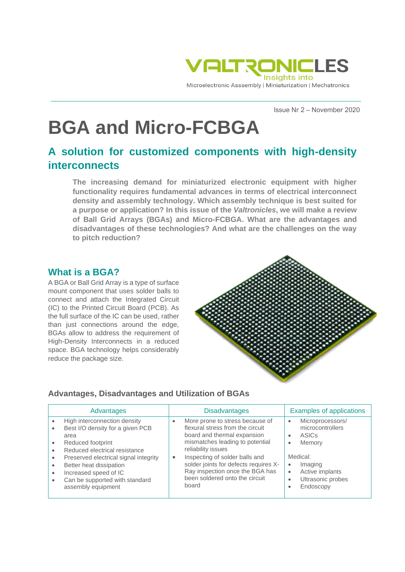

Issue Nr 2 – November 2020

# **BGA and Micro-FCBGA**

# **A solution for customized components with high-density interconnects**

**The increasing demand for miniaturized electronic equipment with higher functionality requires fundamental advances in terms of electrical interconnect density and assembly technology. Which assembly technique is best suited for a purpose or application? In this issue of the** *Valtronicles***, we will make a review of Ball Grid Arrays (BGAs) and Micro-FCBGA. What are the advantages and disadvantages of these technologies? And what are the challenges on the way to pitch reduction?**

# **What is a BGA?**

A BGA or Ball Grid Array is a type of surface mount component that uses solder balls to connect and attach the Integrated Circuit (IC) to the Printed Circuit Board (PCB). As the full surface of the IC can be used, rather than just connections around the edge, BGAs allow to address the requirement of High-Density Interconnects in a reduced space. BGA technology helps considerably reduce the package size.



## **Advantages, Disadvantages and Utilization of BGAs**

| Advantages |                                                                                                                                                   | <b>Disadvantages</b> |                                                                                                                                                             | <b>Examples of applications</b> |                                                                          |
|------------|---------------------------------------------------------------------------------------------------------------------------------------------------|----------------------|-------------------------------------------------------------------------------------------------------------------------------------------------------------|---------------------------------|--------------------------------------------------------------------------|
|            | High interconnection density<br>Best I/O density for a given PCB<br>area<br>Reduced footprint<br>Reduced electrical resistance                    |                      | More prone to stress because of<br>flexural stress from the circuit<br>board and thermal expansion<br>mismatches leading to potential<br>reliability issues | $\bullet$<br>$\bullet$<br>٠     | Microprocessors/<br>microcontrollers<br>ASIC <sub>S</sub><br>Memory      |
| ٠<br>٠     | Preserved electrical signal integrity<br>Better heat dissipation<br>Increased speed of IC<br>Can be supported with standard<br>assembly equipment | $\bullet$            | Inspecting of solder balls and<br>solder joints for defects requires X-<br>Ray inspection once the BGA has<br>been soldered onto the circuit<br>board       | ٠<br>٠<br>٠<br>٠                | Medical:<br>Imaging<br>Active implants<br>Ultrasonic probes<br>Endoscopy |